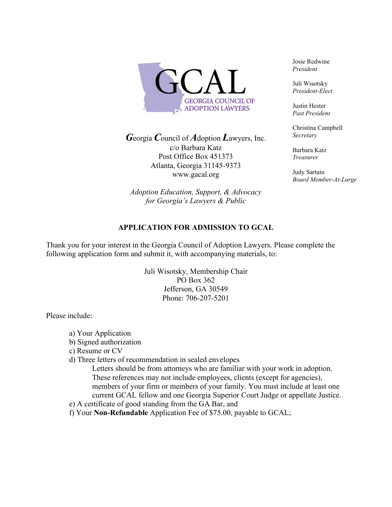

*G*eorgia *C*ouncil of *A*doption *L*awyers, Inc. c/o Barbara Katz Post Office Box 451373 Atlanta, Georgia 31145-9373 www.gacal.org

*Adoption Education, Support, & Advocacy for Georgia's Lawyers & Public*

Josie Redwine *President* 

Juli Wisotsky *President-Elect* 

Justin Hester *Past President* 

Christina Campbell *Secretary*

Barbara Katz *Treasurer* 

Judy Sartain *Board Member-At-Large* 

## **APPLICATION FOR ADMISSION TO GCAL**

Thank you for your interest in the Georgia Council of Adoption Lawyers. Please complete the following application form and submit it, with accompanying materials, to:

> Juli Wisotsky, Membership Chair PO Box 362 Jefferson, GA 30549 Phone: 706-207-5201

Please include:

- a) Your Application
- b) Signed authorization
- c) Resume or CV
- d) Three letters of recommendation in sealed envelopes
	- Letters should be from attorneys who are familiar with your work in adoption. These references may not include employees, clients (except for agencies), members of your firm or members of your family. You must include at least one current GCAL fellow and one Georgia Superior Court Judge or appellate Justice.
- e) A certificate of good standing from the GA Bar, and
- f) Your **Non-Refundable** Application Fee of \$75.00, payable to GCAL;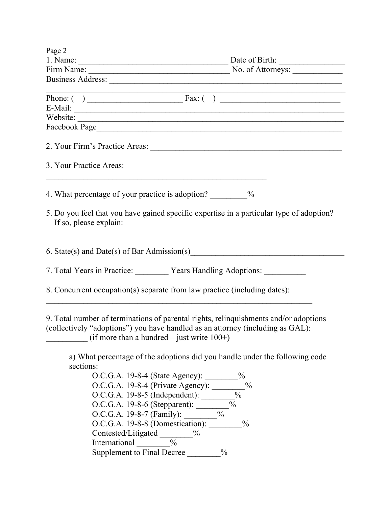| Page 2                                                                                                                                                                             |                                                                                                                                                                  |
|------------------------------------------------------------------------------------------------------------------------------------------------------------------------------------|------------------------------------------------------------------------------------------------------------------------------------------------------------------|
|                                                                                                                                                                                    |                                                                                                                                                                  |
|                                                                                                                                                                                    |                                                                                                                                                                  |
|                                                                                                                                                                                    |                                                                                                                                                                  |
|                                                                                                                                                                                    |                                                                                                                                                                  |
|                                                                                                                                                                                    |                                                                                                                                                                  |
|                                                                                                                                                                                    |                                                                                                                                                                  |
|                                                                                                                                                                                    |                                                                                                                                                                  |
|                                                                                                                                                                                    | Facebook Page                                                                                                                                                    |
|                                                                                                                                                                                    | 2. Your Firm's Practice Areas:                                                                                                                                   |
| 3. Your Practice Areas:                                                                                                                                                            |                                                                                                                                                                  |
| 4. What percentage of your practice is adoption? ___________ %                                                                                                                     |                                                                                                                                                                  |
| If so, please explain:                                                                                                                                                             | 5. Do you feel that you have gained specific expertise in a particular type of adoption?                                                                         |
| 6. State(s) and Date(s) of Bar Admission(s) Channel Contains a material of the State (s) and Date(s) of Bar Admission(s)                                                           |                                                                                                                                                                  |
| 7. Total Years in Practice: Vears Handling Adoptions: Vears Handling Adoptions:                                                                                                    |                                                                                                                                                                  |
| 8. Concurrent occupation(s) separate from law practice (including dates):                                                                                                          |                                                                                                                                                                  |
| (collectively "adoptions") you have handled as an attorney (including as GAL):<br>(if more than a hundred – just write $100+$ )                                                    | 9. Total number of terminations of parental rights, relinquishments and/or adoptions                                                                             |
| sections:<br>O.C.G.A. 19-8-4 (State Agency): ________%<br>O.C.G.A. 19-8-4 (Private Agency): ________<br>O.C.G.A. 19-8-6 (Stepparent): ________<br>O.C.G.A. 19-8-8 (Domestication): | a) What percentage of the adoptions did you handle under the following code<br>$\frac{0}{0}$<br>$\frac{0}{0}$<br>$\frac{1}{2}$<br>$\frac{0}{0}$<br>$\frac{0}{0}$ |
| Contested/Litigated ________%<br>$\frac{0}{6}$<br>International<br>Supplement to Final Decree                                                                                      | $\frac{0}{0}$                                                                                                                                                    |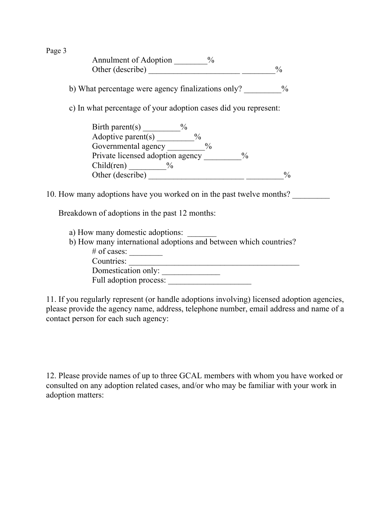Page 3

| Annulment of Adoption |  |
|-----------------------|--|
| Other (describe)      |  |

b) What percentage were agency finalizations only?  $\%$ 

c) In what percentage of your adoption cases did you represent:

| Birth parent(s)                  | $\frac{0}{0}$ |
|----------------------------------|---------------|
| Adoptive parent $(s)$            |               |
| Governmental agency              | $\frac{0}{0}$ |
| Private licensed adoption agency | $\frac{0}{0}$ |
| Child(ren)<br>$\frac{0}{0}$      |               |
| Other (describe)                 | $\frac{0}{0}$ |

10. How many adoptions have you worked on in the past twelve months?

Breakdown of adoptions in the past 12 months:

a) How many domestic adoptions:

b) How many international adoptions and between which countries?

| $\#$ of cases:         |  |
|------------------------|--|
| Countries:             |  |
| Domestication only:    |  |
| Full adoption process: |  |

11. If you regularly represent (or handle adoptions involving) licensed adoption agencies, please provide the agency name, address, telephone number, email address and name of a contact person for each such agency:

12. Please provide names of up to three GCAL members with whom you have worked or consulted on any adoption related cases, and/or who may be familiar with your work in adoption matters: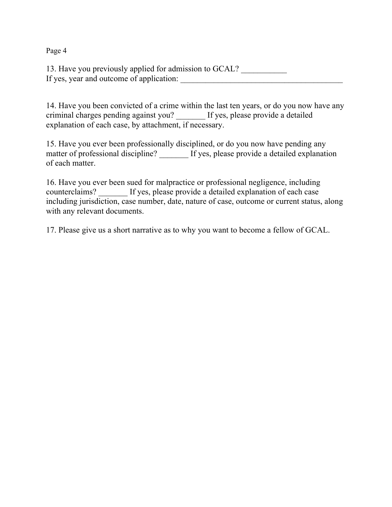Page 4

13. Have you previously applied for admission to GCAL? If yes, year and outcome of application:

14. Have you been convicted of a crime within the last ten years, or do you now have any criminal charges pending against you? \_\_\_\_\_\_\_ If yes, please provide a detailed explanation of each case, by attachment, if necessary.

15. Have you ever been professionally disciplined, or do you now have pending any matter of professional discipline? If yes, please provide a detailed explanation of each matter.

16. Have you ever been sued for malpractice or professional negligence, including counterclaims? \_\_\_\_\_\_\_ If yes, please provide a detailed explanation of each case including jurisdiction, case number, date, nature of case, outcome or current status, along with any relevant documents.

17. Please give us a short narrative as to why you want to become a fellow of GCAL.